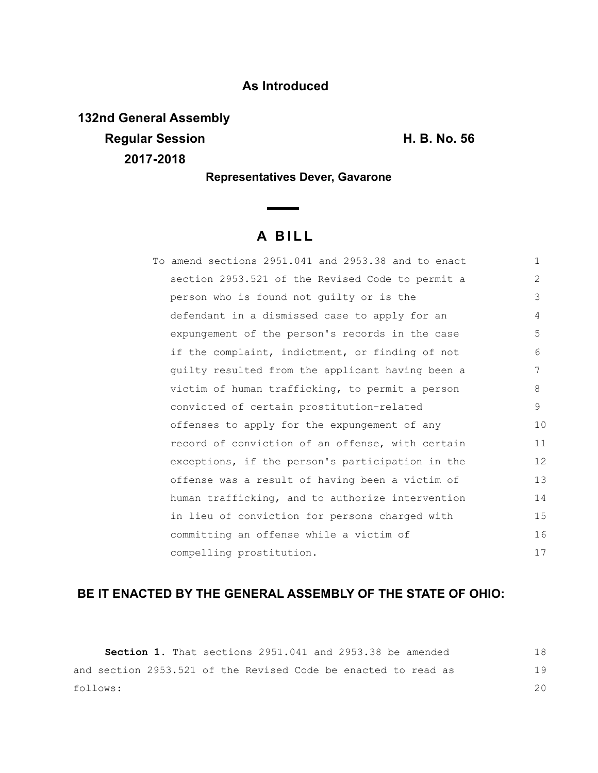### **As Introduced**

**132nd General Assembly Regular Session H. B. No. 56 2017-2018**

**Representatives Dever, Gavarone**

# **A B I L L**

| To amend sections 2951.041 and 2953.38 and to enact | $\mathbf{1}$   |
|-----------------------------------------------------|----------------|
| section 2953.521 of the Revised Code to permit a    | $\overline{2}$ |
| person who is found not quilty or is the            | 3              |
| defendant in a dismissed case to apply for an       | 4              |
| expungement of the person's records in the case     | 5              |
| if the complaint, indictment, or finding of not     | 6              |
| guilty resulted from the applicant having been a    | 7              |
| victim of human trafficking, to permit a person     | 8              |
| convicted of certain prostitution-related           | 9              |
| offenses to apply for the expungement of any        | 10             |
| record of conviction of an offense, with certain    | 11             |
| exceptions, if the person's participation in the    | 12             |
| offense was a result of having been a victim of     | 13             |
| human trafficking, and to authorize intervention    | 14             |
| in lieu of conviction for persons charged with      | 15             |
| committing an offense while a victim of             | 16             |
| compelling prostitution.                            | 17             |

## **BE IT ENACTED BY THE GENERAL ASSEMBLY OF THE STATE OF OHIO:**

|                                                                |  |  |  |  | <b>Section 1.</b> That sections 2951.041 and 2953.38 be amended | 18 |
|----------------------------------------------------------------|--|--|--|--|-----------------------------------------------------------------|----|
| and section 2953.521 of the Revised Code be enacted to read as |  |  |  |  |                                                                 | 19 |
| follows:                                                       |  |  |  |  |                                                                 | 20 |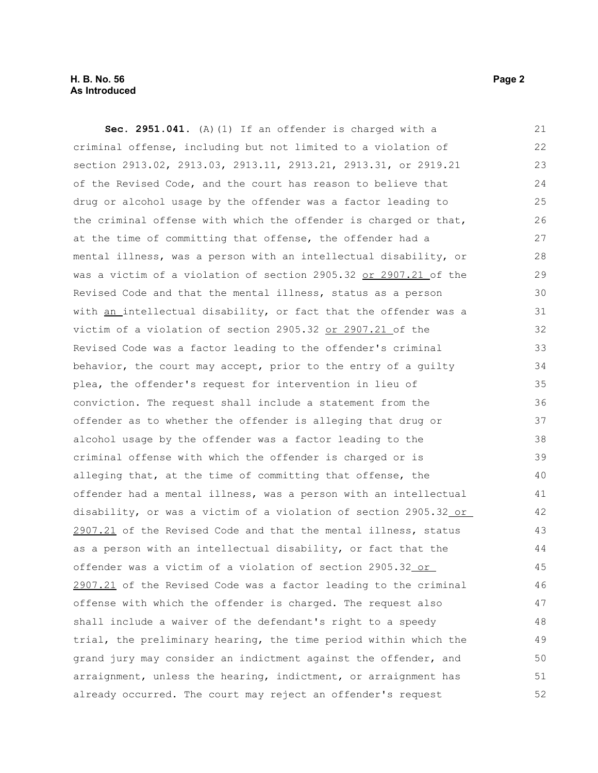**Sec. 2951.041.** (A)(1) If an offender is charged with a criminal offense, including but not limited to a violation of section 2913.02, 2913.03, 2913.11, 2913.21, 2913.31, or 2919.21 of the Revised Code, and the court has reason to believe that drug or alcohol usage by the offender was a factor leading to the criminal offense with which the offender is charged or that, at the time of committing that offense, the offender had a mental illness, was a person with an intellectual disability, or was a victim of a violation of section 2905.32 or 2907.21 of the Revised Code and that the mental illness, status as a person with an intellectual disability, or fact that the offender was a victim of a violation of section 2905.32 or 2907.21 of the Revised Code was a factor leading to the offender's criminal behavior, the court may accept, prior to the entry of a guilty plea, the offender's request for intervention in lieu of conviction. The request shall include a statement from the offender as to whether the offender is alleging that drug or alcohol usage by the offender was a factor leading to the criminal offense with which the offender is charged or is alleging that, at the time of committing that offense, the offender had a mental illness, was a person with an intellectual disability, or was a victim of a violation of section 2905.32 or 2907.21 of the Revised Code and that the mental illness, status as a person with an intellectual disability, or fact that the offender was a victim of a violation of section 2905.32 or 2907.21 of the Revised Code was a factor leading to the criminal offense with which the offender is charged. The request also shall include a waiver of the defendant's right to a speedy trial, the preliminary hearing, the time period within which the grand jury may consider an indictment against the offender, and arraignment, unless the hearing, indictment, or arraignment has already occurred. The court may reject an offender's request 21 22 23 24 25 26 27 28 29 30 31 32 33 34 35 36 37 38 39 40 41 42 43 44 45 46 47 48 49 50 51 52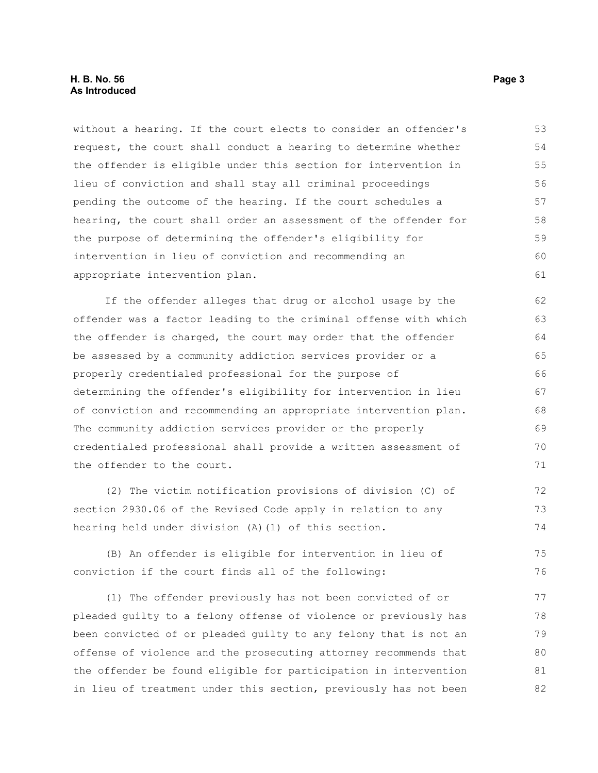#### **H. B. No. 56 Page 3 As Introduced**

without a hearing. If the court elects to consider an offender's request, the court shall conduct a hearing to determine whether the offender is eligible under this section for intervention in lieu of conviction and shall stay all criminal proceedings pending the outcome of the hearing. If the court schedules a hearing, the court shall order an assessment of the offender for the purpose of determining the offender's eligibility for intervention in lieu of conviction and recommending an appropriate intervention plan. 53 54 55 56 57 58 59 60 61

If the offender alleges that drug or alcohol usage by the offender was a factor leading to the criminal offense with which the offender is charged, the court may order that the offender be assessed by a community addiction services provider or a properly credentialed professional for the purpose of determining the offender's eligibility for intervention in lieu of conviction and recommending an appropriate intervention plan. The community addiction services provider or the properly credentialed professional shall provide a written assessment of the offender to the court.

(2) The victim notification provisions of division (C) of section 2930.06 of the Revised Code apply in relation to any hearing held under division (A)(1) of this section. 72 73 74

(B) An offender is eligible for intervention in lieu of conviction if the court finds all of the following: 75 76

(1) The offender previously has not been convicted of or pleaded guilty to a felony offense of violence or previously has been convicted of or pleaded guilty to any felony that is not an offense of violence and the prosecuting attorney recommends that the offender be found eligible for participation in intervention in lieu of treatment under this section, previously has not been 77 78 79 80 81 82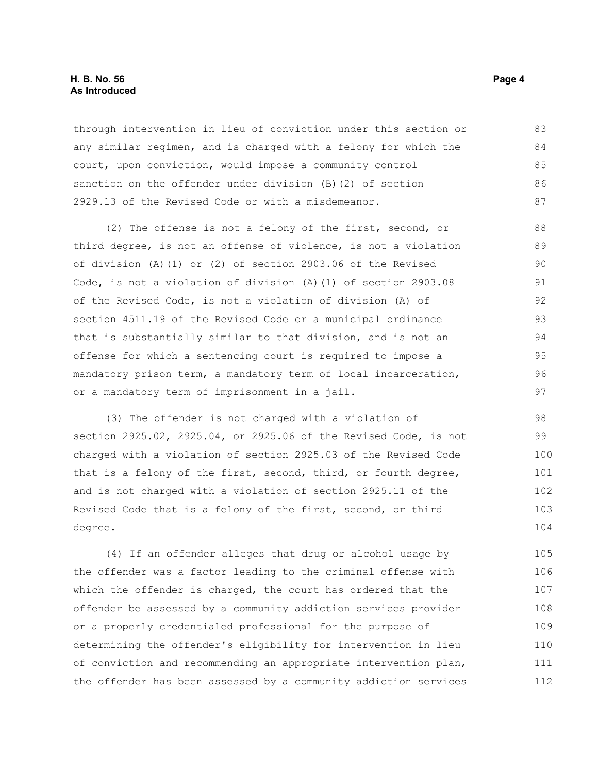#### **H. B. No. 56 Page 4 As Introduced**

through intervention in lieu of conviction under this section or any similar regimen, and is charged with a felony for which the court, upon conviction, would impose a community control sanction on the offender under division (B)(2) of section 2929.13 of the Revised Code or with a misdemeanor. 83 84 85 86 87

(2) The offense is not a felony of the first, second, or third degree, is not an offense of violence, is not a violation of division (A)(1) or (2) of section 2903.06 of the Revised Code, is not a violation of division (A)(1) of section 2903.08 of the Revised Code, is not a violation of division (A) of section 4511.19 of the Revised Code or a municipal ordinance that is substantially similar to that division, and is not an offense for which a sentencing court is required to impose a mandatory prison term, a mandatory term of local incarceration, or a mandatory term of imprisonment in a jail. 88 89  $90$ 91 92 93 94 95 96 97

(3) The offender is not charged with a violation of section 2925.02, 2925.04, or 2925.06 of the Revised Code, is not charged with a violation of section 2925.03 of the Revised Code that is a felony of the first, second, third, or fourth degree, and is not charged with a violation of section 2925.11 of the Revised Code that is a felony of the first, second, or third degree.

(4) If an offender alleges that drug or alcohol usage by the offender was a factor leading to the criminal offense with which the offender is charged, the court has ordered that the offender be assessed by a community addiction services provider or a properly credentialed professional for the purpose of determining the offender's eligibility for intervention in lieu of conviction and recommending an appropriate intervention plan, the offender has been assessed by a community addiction services 105 106 107 108 109 110 111 112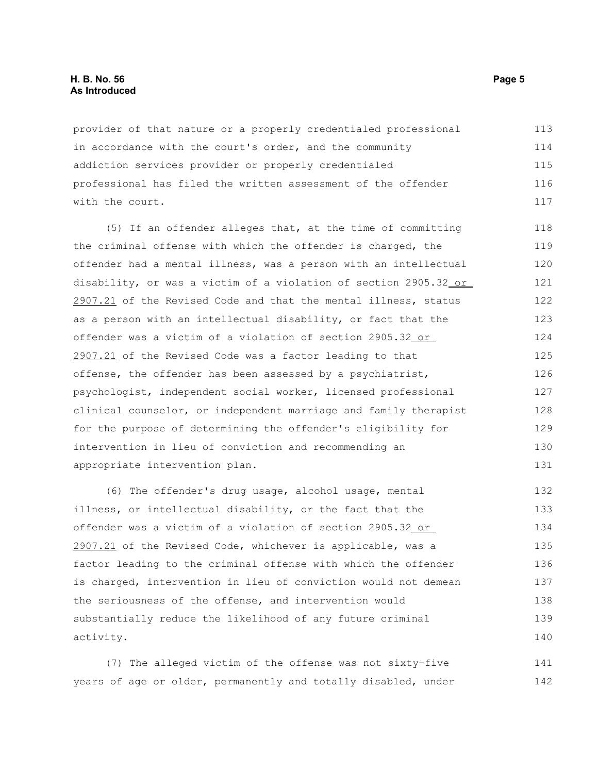provider of that nature or a properly credentialed professional in accordance with the court's order, and the community addiction services provider or properly credentialed professional has filed the written assessment of the offender with the court. 113 114 115 116 117

(5) If an offender alleges that, at the time of committing the criminal offense with which the offender is charged, the offender had a mental illness, was a person with an intellectual disability, or was a victim of a violation of section 2905.32 or 2907.21 of the Revised Code and that the mental illness, status as a person with an intellectual disability, or fact that the offender was a victim of a violation of section 2905.32 or 2907.21 of the Revised Code was a factor leading to that offense, the offender has been assessed by a psychiatrist, psychologist, independent social worker, licensed professional clinical counselor, or independent marriage and family therapist for the purpose of determining the offender's eligibility for intervention in lieu of conviction and recommending an appropriate intervention plan. 118 119 120 121 122 123 124 125 126 127 128 129 130 131

(6) The offender's drug usage, alcohol usage, mental illness, or intellectual disability, or the fact that the offender was a victim of a violation of section 2905.32 or 2907.21 of the Revised Code, whichever is applicable, was a factor leading to the criminal offense with which the offender is charged, intervention in lieu of conviction would not demean the seriousness of the offense, and intervention would substantially reduce the likelihood of any future criminal activity. 132 133 134 135 136 137 138 139 140

(7) The alleged victim of the offense was not sixty-five years of age or older, permanently and totally disabled, under 141 142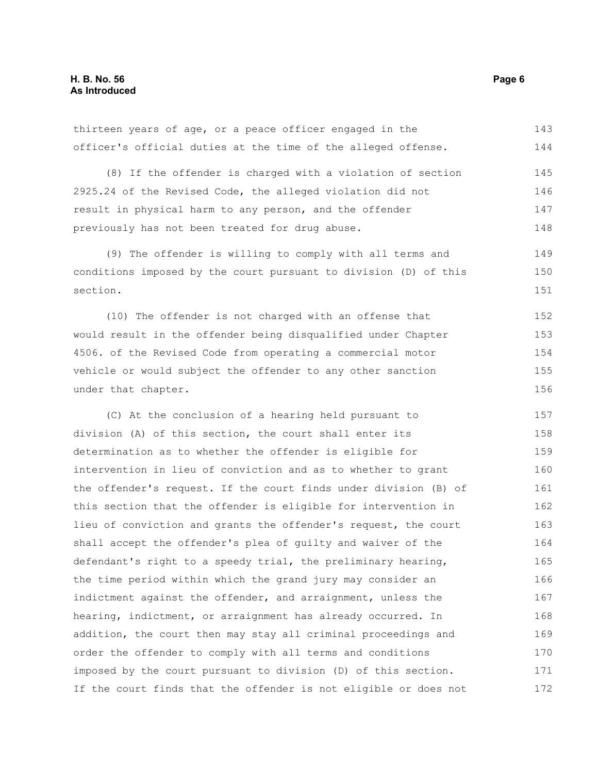| officer's official duties at the time of the alleged offense.    | 144 |
|------------------------------------------------------------------|-----|
| (8) If the offender is charged with a violation of section       | 145 |
| 2925.24 of the Revised Code, the alleged violation did not       | 146 |
| result in physical harm to any person, and the offender          | 147 |
| previously has not been treated for drug abuse.                  | 148 |
| (9) The offender is willing to comply with all terms and         | 149 |
| conditions imposed by the court pursuant to division (D) of this | 150 |
| section.                                                         | 151 |
| (10) The offender is not charged with an offense that            | 152 |
| would result in the offender being disqualified under Chapter    | 153 |
| 4506. of the Revised Code from operating a commercial motor      | 154 |
| vehicle or would subject the offender to any other sanction      | 155 |
| under that chapter.                                              | 156 |
| (C) At the conclusion of a hearing held pursuant to              | 157 |
| division (A) of this section, the court shall enter its          | 158 |
| determination as to whether the offender is eligible for         | 159 |
| intervention in lieu of conviction and as to whether to grant    | 160 |
| the offender's request. If the court finds under division (B) of | 161 |
| this section that the offender is eligible for intervention in   | 162 |
| lieu of conviction and grants the offender's request, the court  | 163 |
| shall accept the offender's plea of guilty and waiver of the     | 164 |
| defendant's right to a speedy trial, the preliminary hearing,    | 165 |
| the time period within which the grand jury may consider an      | 166 |
| indictment against the offender, and arraignment, unless the     | 167 |
| hearing, indictment, or arraignment has already occurred. In     | 168 |
| addition, the court then may stay all criminal proceedings and   | 169 |
| order the offender to comply with all terms and conditions       | 170 |
| imposed by the court pursuant to division (D) of this section.   | 171 |
| If the court finds that the offender is not eligible or does not | 172 |

thirteen years of age, or a peace officer engaged in the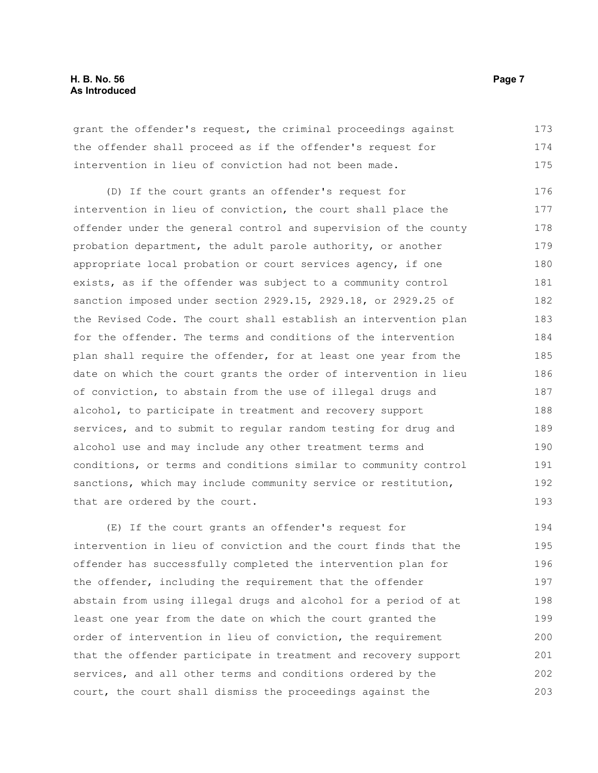#### **H. B. No. 56 Page 7 As Introduced**

grant the offender's request, the criminal proceedings against the offender shall proceed as if the offender's request for intervention in lieu of conviction had not been made. 173 174 175

(D) If the court grants an offender's request for intervention in lieu of conviction, the court shall place the offender under the general control and supervision of the county probation department, the adult parole authority, or another appropriate local probation or court services agency, if one exists, as if the offender was subject to a community control sanction imposed under section 2929.15, 2929.18, or 2929.25 of the Revised Code. The court shall establish an intervention plan for the offender. The terms and conditions of the intervention plan shall require the offender, for at least one year from the date on which the court grants the order of intervention in lieu of conviction, to abstain from the use of illegal drugs and alcohol, to participate in treatment and recovery support services, and to submit to regular random testing for drug and alcohol use and may include any other treatment terms and conditions, or terms and conditions similar to community control sanctions, which may include community service or restitution, that are ordered by the court. 176 177 178 179 180 181 182 183 184 185 186 187 188 189 190 191 192 193

(E) If the court grants an offender's request for intervention in lieu of conviction and the court finds that the offender has successfully completed the intervention plan for the offender, including the requirement that the offender abstain from using illegal drugs and alcohol for a period of at least one year from the date on which the court granted the order of intervention in lieu of conviction, the requirement that the offender participate in treatment and recovery support services, and all other terms and conditions ordered by the court, the court shall dismiss the proceedings against the 194 195 196 197 198 199 200 201 202 203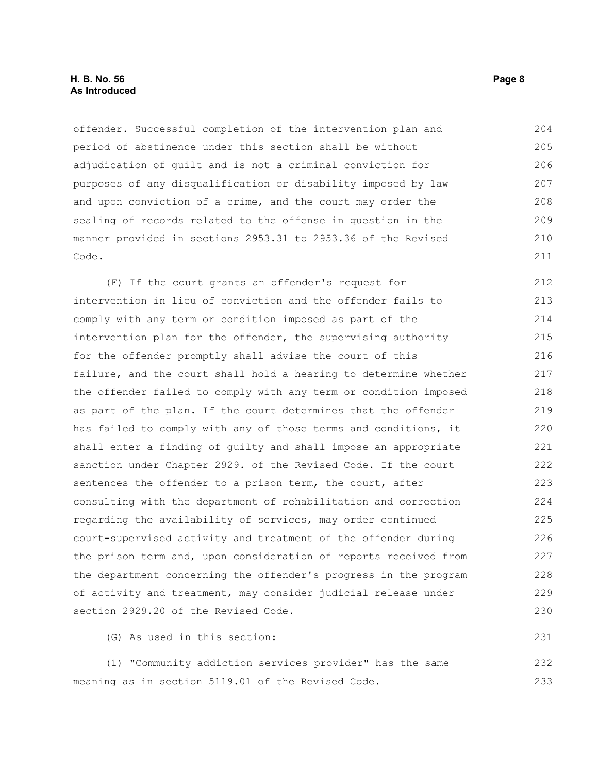offender. Successful completion of the intervention plan and period of abstinence under this section shall be without adjudication of guilt and is not a criminal conviction for purposes of any disqualification or disability imposed by law and upon conviction of a crime, and the court may order the sealing of records related to the offense in question in the manner provided in sections 2953.31 to 2953.36 of the Revised Code. 204 205 206 207 208 209 210 211

(F) If the court grants an offender's request for intervention in lieu of conviction and the offender fails to comply with any term or condition imposed as part of the intervention plan for the offender, the supervising authority for the offender promptly shall advise the court of this failure, and the court shall hold a hearing to determine whether the offender failed to comply with any term or condition imposed as part of the plan. If the court determines that the offender has failed to comply with any of those terms and conditions, it shall enter a finding of guilty and shall impose an appropriate sanction under Chapter 2929. of the Revised Code. If the court sentences the offender to a prison term, the court, after consulting with the department of rehabilitation and correction regarding the availability of services, may order continued court-supervised activity and treatment of the offender during the prison term and, upon consideration of reports received from the department concerning the offender's progress in the program of activity and treatment, may consider judicial release under section 2929.20 of the Revised Code. 212 213 214 215 216 217 218 219 220 221 222 223 224 225 226 227 228 229 230

(G) As used in this section:

(1) "Community addiction services provider" has the same meaning as in section 5119.01 of the Revised Code. 232 233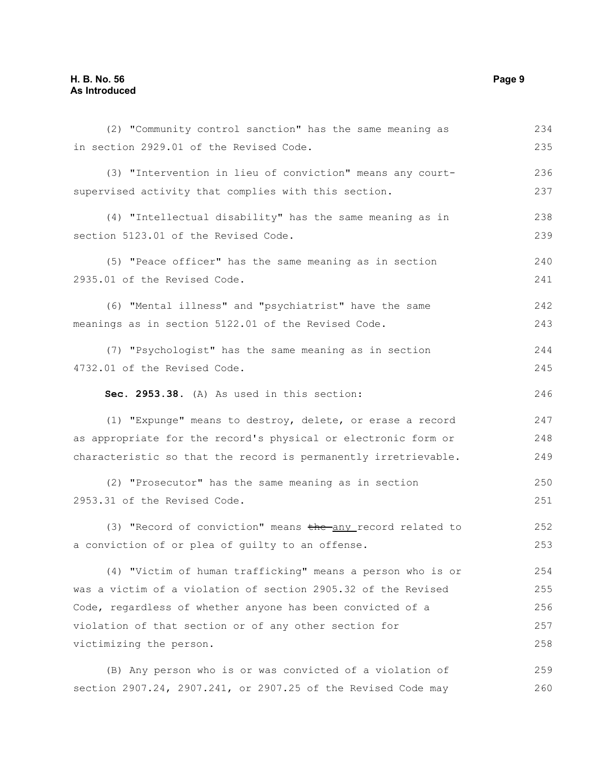| (2) "Community control sanction" has the same meaning as        | 234 |
|-----------------------------------------------------------------|-----|
| in section 2929.01 of the Revised Code.                         | 235 |
| (3) "Intervention in lieu of conviction" means any court-       | 236 |
| supervised activity that complies with this section.            | 237 |
| (4) "Intellectual disability" has the same meaning as in        | 238 |
| section 5123.01 of the Revised Code.                            | 239 |
| (5) "Peace officer" has the same meaning as in section          | 240 |
| 2935.01 of the Revised Code.                                    | 241 |
| (6) "Mental illness" and "psychiatrist" have the same           | 242 |
| meanings as in section 5122.01 of the Revised Code.             | 243 |
| (7) "Psychologist" has the same meaning as in section           | 244 |
| 4732.01 of the Revised Code.                                    | 245 |
| Sec. 2953.38. (A) As used in this section:                      | 246 |
| (1) "Expunge" means to destroy, delete, or erase a record       | 247 |
| as appropriate for the record's physical or electronic form or  | 248 |
| characteristic so that the record is permanently irretrievable. | 249 |
| (2) "Prosecutor" has the same meaning as in section             | 250 |
| 2953.31 of the Revised Code.                                    | 251 |
| (3) "Record of conviction" means the any record related to      | 252 |
| a conviction of or plea of guilty to an offense.                | 253 |
| (4) "Victim of human trafficking" means a person who is or      | 254 |
| was a victim of a violation of section 2905.32 of the Revised   | 255 |
| Code, regardless of whether anyone has been convicted of a      | 256 |
| violation of that section or of any other section for           | 257 |
| victimizing the person.                                         | 258 |
| (B) Any person who is or was convicted of a violation of        | 259 |
| section 2907.24, 2907.241, or 2907.25 of the Revised Code may   | 260 |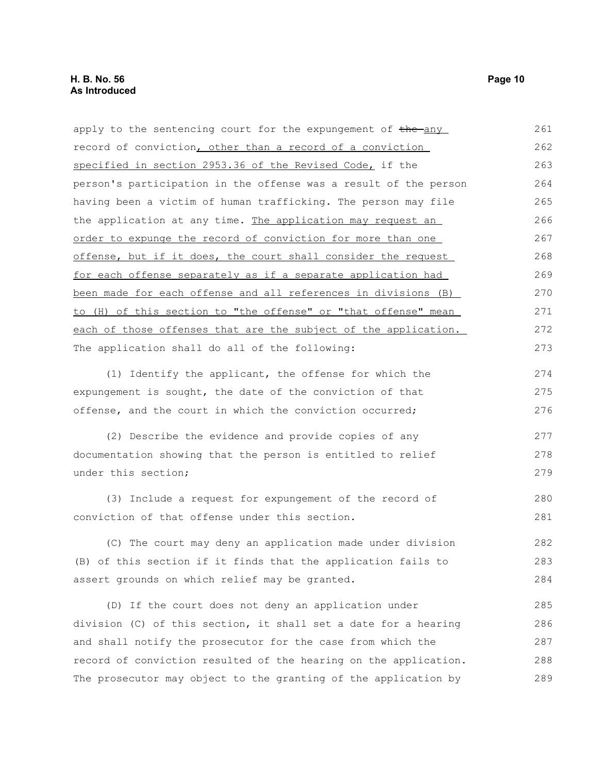apply to the sentencing court for the expungement of the any record of conviction, other than a record of a conviction specified in section 2953.36 of the Revised Code, if the person's participation in the offense was a result of the person having been a victim of human trafficking. The person may file the application at any time. The application may request an order to expunge the record of conviction for more than one offense, but if it does, the court shall consider the request for each offense separately as if a separate application had been made for each offense and all references in divisions (B) to (H) of this section to "the offense" or "that offense" mean each of those offenses that are the subject of the application. The application shall do all of the following: (1) Identify the applicant, the offense for which the expungement is sought, the date of the conviction of that offense, and the court in which the conviction occurred; (2) Describe the evidence and provide copies of any documentation showing that the person is entitled to relief under this section; (3) Include a request for expungement of the record of conviction of that offense under this section. (C) The court may deny an application made under division (B) of this section if it finds that the application fails to assert grounds on which relief may be granted. (D) If the court does not deny an application under division (C) of this section, it shall set a date for a hearing and shall notify the prosecutor for the case from which the record of conviction resulted of the hearing on the application. The prosecutor may object to the granting of the application by 261 262 263 264 265 266 267 268 269 270 271 272 273 274 275 276 277 278 279 280 281 282 283 284 285 286 287 288 289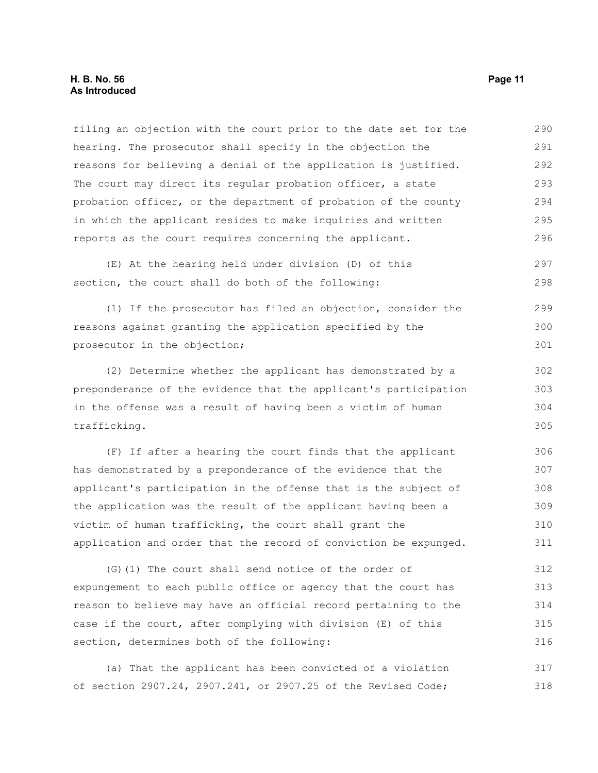filing an objection with the court prior to the date set for the hearing. The prosecutor shall specify in the objection the reasons for believing a denial of the application is justified. The court may direct its regular probation officer, a state probation officer, or the department of probation of the county in which the applicant resides to make inquiries and written reports as the court requires concerning the applicant. 290 291 292 293 294 295 296

(E) At the hearing held under division (D) of this section, the court shall do both of the following: 297 298

(1) If the prosecutor has filed an objection, consider the reasons against granting the application specified by the prosecutor in the objection; 299 300 301

(2) Determine whether the applicant has demonstrated by a preponderance of the evidence that the applicant's participation in the offense was a result of having been a victim of human trafficking. 302 303 304 305

(F) If after a hearing the court finds that the applicant has demonstrated by a preponderance of the evidence that the applicant's participation in the offense that is the subject of the application was the result of the applicant having been a victim of human trafficking, the court shall grant the application and order that the record of conviction be expunged. 306 307 308 309 310 311

(G)(1) The court shall send notice of the order of expungement to each public office or agency that the court has reason to believe may have an official record pertaining to the case if the court, after complying with division (E) of this section, determines both of the following: 312 313 314 315 316

(a) That the applicant has been convicted of a violation of section 2907.24, 2907.241, or 2907.25 of the Revised Code; 317 318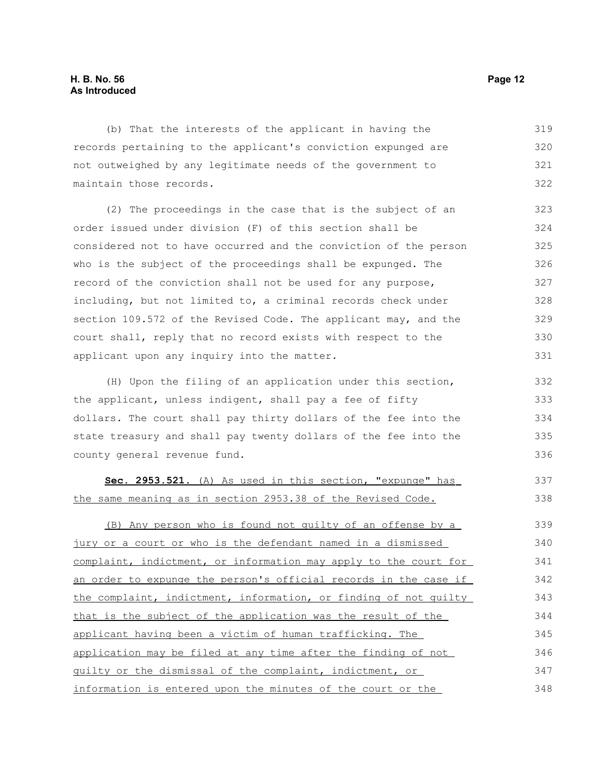#### **H. B. No. 56 Page 12 As Introduced**

(b) That the interests of the applicant in having the records pertaining to the applicant's conviction expunged are not outweighed by any legitimate needs of the government to maintain those records. 319 320 321 322

(2) The proceedings in the case that is the subject of an order issued under division (F) of this section shall be considered not to have occurred and the conviction of the person who is the subject of the proceedings shall be expunged. The record of the conviction shall not be used for any purpose, including, but not limited to, a criminal records check under section 109.572 of the Revised Code. The applicant may, and the court shall, reply that no record exists with respect to the applicant upon any inquiry into the matter. 323 324 325 326 327 328 329 330 331

(H) Upon the filing of an application under this section, the applicant, unless indigent, shall pay a fee of fifty dollars. The court shall pay thirty dollars of the fee into the state treasury and shall pay twenty dollars of the fee into the county general revenue fund. 332 333 334 335 336

 **Sec. 2953.521.** (A) As used in this section, "expunge" has the same meaning as in section 2953.38 of the Revised Code. 337 338

(B) Any person who is found not guilty of an offense by a jury or a court or who is the defendant named in a dismissed complaint, indictment, or information may apply to the court for an order to expunge the person's official records in the case if the complaint, indictment, information, or finding of not quilty that is the subject of the application was the result of the applicant having been a victim of human trafficking. The application may be filed at any time after the finding of not guilty or the dismissal of the complaint, indictment, or information is entered upon the minutes of the court or the 339 340 341 342 343 344 345 346 347 348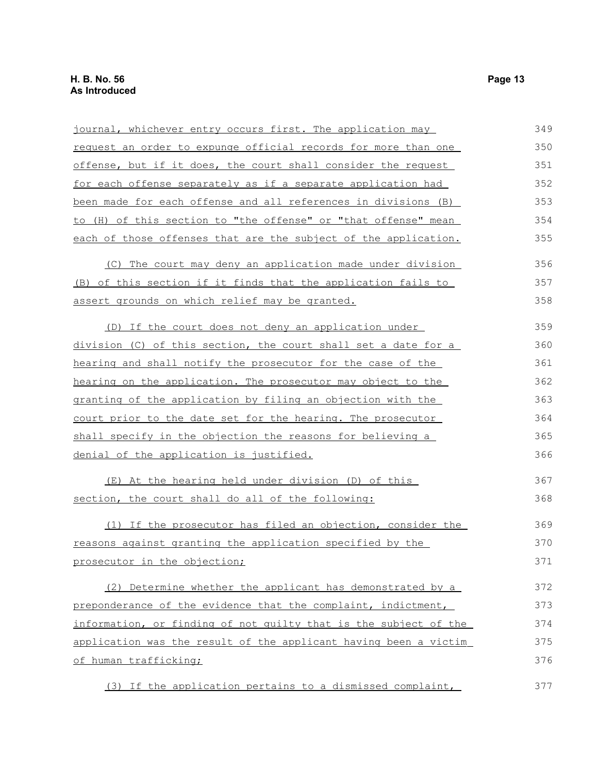| journal, whichever entry occurs first. The application may       | 349 |
|------------------------------------------------------------------|-----|
| request an order to expunge official records for more than one   | 350 |
| offense, but if it does, the court shall consider the request    | 351 |
| for each offense separately as if a separate application had     | 352 |
| been made for each offense and all references in divisions (B)   | 353 |
| to (H) of this section to "the offense" or "that offense" mean   | 354 |
| each of those offenses that are the subject of the application.  | 355 |
| (C) The court may deny an application made under division        | 356 |
| (B) of this section if it finds that the application fails to    | 357 |
| assert grounds on which relief may be granted.                   | 358 |
| (D) If the court does not deny an application under              | 359 |
| division (C) of this section, the court shall set a date for a   | 360 |
| hearing and shall notify the prosecutor for the case of the      | 361 |
| hearing on the application. The prosecutor may object to the     | 362 |
| granting of the application by filing an objection with the      | 363 |
| court prior to the date set for the hearing. The prosecutor      | 364 |
| shall specify in the objection the reasons for believing a       | 365 |
| denial of the application is justified.                          | 366 |
| (E) At the hearing held under division (D) of this               | 367 |
| section, the court shall do all of the following:                | 368 |
| (1) If the prosecutor has filed an objection, consider the       | 369 |
| reasons against granting the application specified by the        | 370 |
| prosecutor in the objection;                                     | 371 |
| (2) Determine whether the applicant has demonstrated by a        | 372 |
| preponderance of the evidence that the complaint, indictment,    | 373 |
| information, or finding of not quilty that is the subject of the | 374 |
| application was the result of the applicant having been a victim | 375 |
| of human trafficking;                                            | 376 |
| (3) If the application pertains to a dismissed complaint,        | 377 |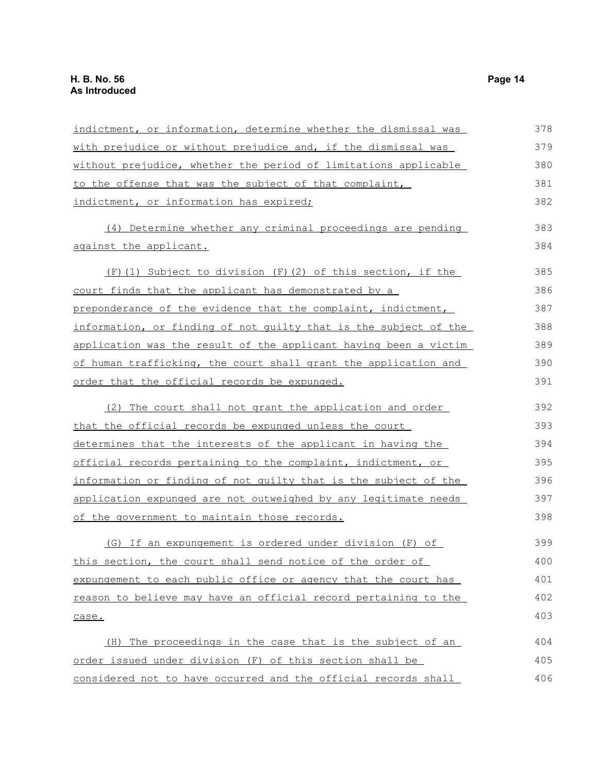| indictment, or information, determine whether the dismissal was  | 378 |
|------------------------------------------------------------------|-----|
| with prejudice or without prejudice and, if the dismissal was    | 379 |
| without prejudice, whether the period of limitations applicable  | 380 |
| to the offense that was the subject of that complaint,           | 381 |
| indictment, or information has expired;                          | 382 |
| (4) Determine whether any criminal proceedings are pending       | 383 |
| against the applicant.                                           | 384 |
| (F)(1) Subject to division (F)(2) of this section, if the        | 385 |
| court finds that the applicant has demonstrated by a             | 386 |
| preponderance of the evidence that the complaint, indictment,    | 387 |
| information, or finding of not quilty that is the subject of the | 388 |
| application was the result of the applicant having been a victim | 389 |
| of human trafficking, the court shall grant the application and  | 390 |
| order that the official records be expunged.                     | 391 |
| (2) The court shall not grant the application and order          | 392 |
| that the official records be expunged unless the court           | 393 |
| determines that the interests of the applicant in having the     | 394 |
| official records pertaining to the complaint, indictment, or     | 395 |
| information or finding of not quilty that is the subject of the  | 396 |
| application expunged are not outweighed by any legitimate needs  | 397 |
| of the government to maintain those records.                     | 398 |
| (G) If an expungement is ordered under division (F) of           | 399 |
| this section, the court shall send notice of the order of        | 400 |
| expungement to each public office or agency that the court has   | 401 |
| reason to believe may have an official record pertaining to the  | 402 |
| case.                                                            | 403 |
| The proceedings in the case that is the subject of an<br>(H)     | 404 |
| order issued under division (F) of this section shall be         | 405 |
| considered not to have occurred and the official records shall   | 406 |